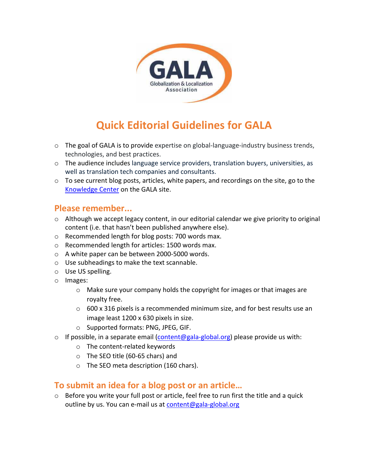

## **Quick Editorial Guidelines for GALA**

- $\circ$  The goal of GALA is to provide expertise on global-language-industry business trends, technologies, and best practices.
- $\circ$  The audience includes language service providers, translation buyers, universities, as well as translation tech companies and consultants.
- $\circ$  To see current blog posts, articles, white papers, and recordings on the site, go to the Knowledge Center on the GALA site.

## **Please remember...**

- $\circ$  Although we accept legacy content, in our editorial calendar we give priority to original content (i.e. that hasn't been published anywhere else).
- o Recommended length for blog posts: 700 words max.
- o Recommended length for articles: 1500 words max.
- o A white paper can be between 2000-5000 words.
- o Use subheadings to make the text scannable.
- o Use US spelling.
- o Images:
	- o Make sure your company holds the copyright for images or that images are royalty free.
	- $\circ$  600 x 316 pixels is a recommended minimum size, and for best results use an image least 1200 x 630 pixels in size.
	- o Supported formats: PNG, JPEG, GIF.
- o If possible, in a separate email  $(\underline{\text{content@gala-global.org}})$  please provide us with:
	- o The content-related keywords
	- o The SEO title (60-65 chars) and
	- o The SEO meta description (160 chars).

## **To submit an idea for a blog post or an article…**

o Before you write your full post or article, feel free to run first the title and a quick outline by us. You can e-mail us at content@gala-global.org